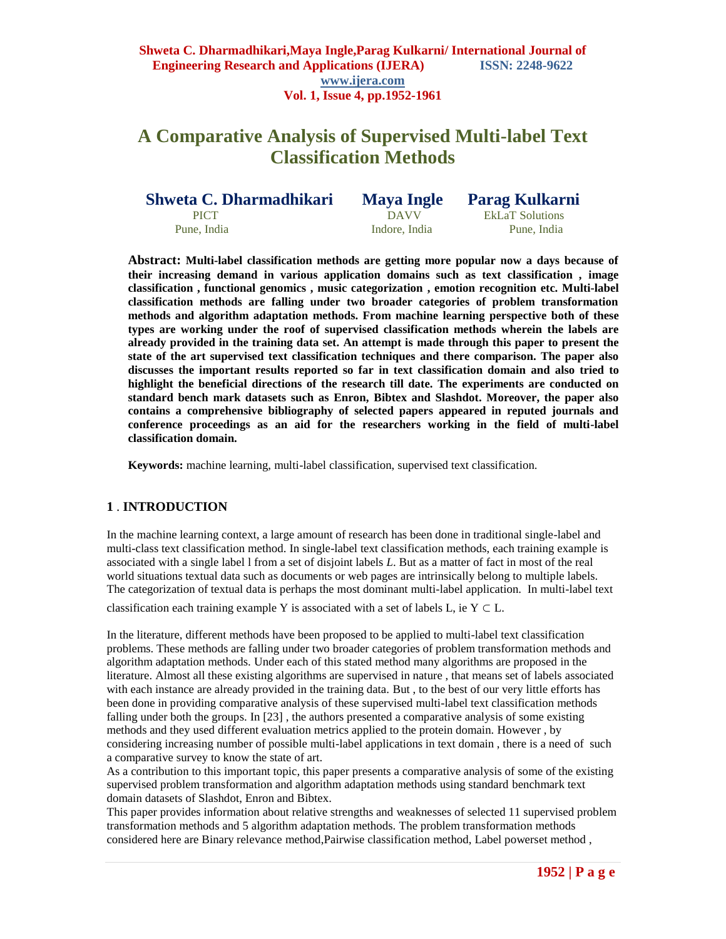# **A Comparative Analysis of Supervised Multi-label Text Classification Methods**

| Shweta C. Dharmadhikari | <b>Maya Ingle</b> | <b>Parag Kulkarni</b>  |
|-------------------------|-------------------|------------------------|
| <b>PICT</b>             | DAVV              | <b>EkLaT</b> Solutions |
| Pune, India             | Indore, India     | Pune, India            |

**Abstract: Multi-label classification methods are getting more popular now a days because of their increasing demand in various application domains such as text classification , image classification , functional genomics , music categorization , emotion recognition etc. Multi-label classification methods are falling under two broader categories of problem transformation methods and algorithm adaptation methods. From machine learning perspective both of these types are working under the roof of supervised classification methods wherein the labels are already provided in the training data set. An attempt is made through this paper to present the state of the art supervised text classification techniques and there comparison. The paper also discusses the important results reported so far in text classification domain and also tried to highlight the beneficial directions of the research till date. The experiments are conducted on standard bench mark datasets such as Enron, Bibtex and Slashdot. Moreover, the paper also contains a comprehensive bibliography of selected papers appeared in reputed journals and conference proceedings as an aid for the researchers working in the field of multi-label classification domain.**

**Keywords:** machine learning, multi-label classification, supervised text classification.

## **1** . **INTRODUCTION**

In the machine learning context, a large amount of research has been done in traditional single-label and multi-class text classification method. In single-label text classification methods, each training example is associated with a single label l from a set of disjoint labels *L*. But as a matter of fact in most of the real world situations textual data such as documents or web pages are intrinsically belong to multiple labels. The categorization of textual data is perhaps the most dominant multi-label application. In multi-label text

classification each training example Y is associated with a set of labels L, ie  $Y \subset L$ .

In the literature, different methods have been proposed to be applied to multi-label text classification problems. These methods are falling under two broader categories of problem transformation methods and algorithm adaptation methods. Under each of this stated method many algorithms are proposed in the literature. Almost all these existing algorithms are supervised in nature , that means set of labels associated with each instance are already provided in the training data. But , to the best of our very little efforts has been done in providing comparative analysis of these supervised multi-label text classification methods falling under both the groups. In [23] , the authors presented a comparative analysis of some existing methods and they used different evaluation metrics applied to the protein domain. However , by considering increasing number of possible multi-label applications in text domain , there is a need of such a comparative survey to know the state of art.

As a contribution to this important topic, this paper presents a comparative analysis of some of the existing supervised problem transformation and algorithm adaptation methods using standard benchmark text domain datasets of Slashdot, Enron and Bibtex.

This paper provides information about relative strengths and weaknesses of selected 11 supervised problem transformation methods and 5 algorithm adaptation methods. The problem transformation methods considered here are Binary relevance method,Pairwise classification method, Label powerset method ,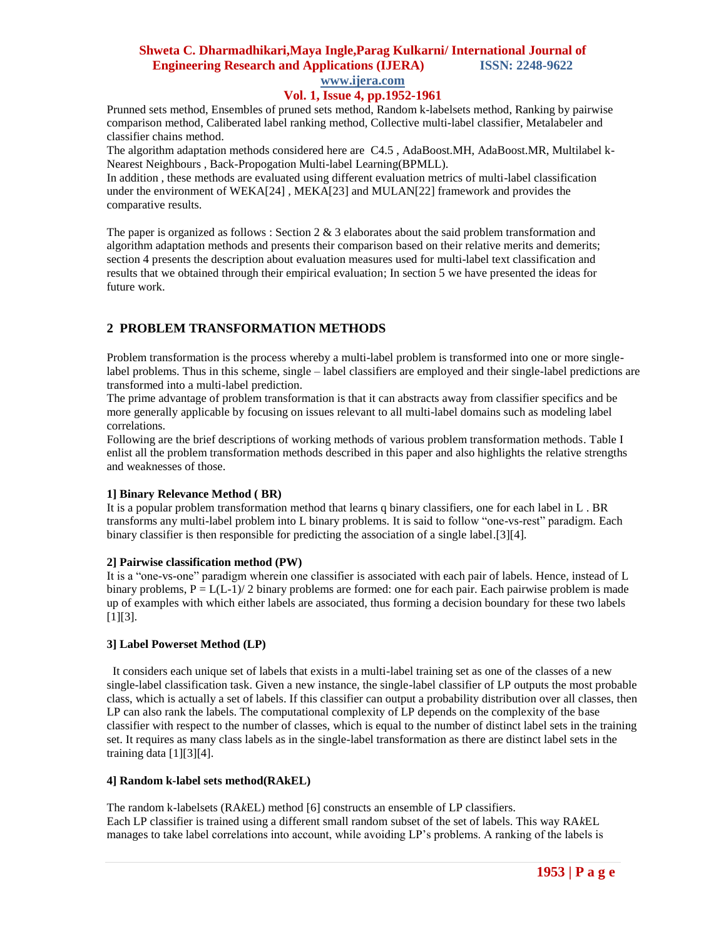# **Shweta C. Dharmadhikari,Maya Ingle,Parag Kulkarni/ International Journal of Engineering Research and Applications (IJERA) ISSN: 2248-9622**

# **www.ijera.com**

## **Vol. 1, Issue 4, pp.1952-1961**

Prunned sets method, Ensembles of pruned sets method, Random k-labelsets method, Ranking by pairwise comparison method, Caliberated label ranking method, Collective multi-label classifier, Metalabeler and classifier chains method.

The algorithm adaptation methods considered here are C4.5 , AdaBoost.MH, AdaBoost.MR, Multilabel k-Nearest Neighbours , Back-Propogation Multi-label Learning(BPMLL).

In addition , these methods are evaluated using different evaluation metrics of multi-label classification under the environment of WEKA[24] , MEKA[23] and MULAN[22] framework and provides the comparative results.

The paper is organized as follows : Section 2  $\&$  3 elaborates about the said problem transformation and algorithm adaptation methods and presents their comparison based on their relative merits and demerits; section 4 presents the description about evaluation measures used for multi-label text classification and results that we obtained through their empirical evaluation; In section 5 we have presented the ideas for future work.

## **2 PROBLEM TRANSFORMATION METHODS**

Problem transformation is the process whereby a multi-label problem is transformed into one or more singlelabel problems. Thus in this scheme, single – label classifiers are employed and their single-label predictions are transformed into a multi-label prediction.

The prime advantage of problem transformation is that it can abstracts away from classifier specifics and be more generally applicable by focusing on issues relevant to all multi-label domains such as modeling label correlations.

Following are the brief descriptions of working methods of various problem transformation methods. Table I enlist all the problem transformation methods described in this paper and also highlights the relative strengths and weaknesses of those.

#### **1] Binary Relevance Method ( BR)**

It is a popular problem transformation method that learns q binary classifiers, one for each label in L . BR transforms any multi-label problem into L binary problems. It is said to follow "one-vs-rest" paradigm. Each binary classifier is then responsible for predicting the association of a single label.[3][4].

#### **2] Pairwise classification method (PW)**

It is a "one-vs-one" paradigm wherein one classifier is associated with each pair of labels. Hence, instead of L binary problems,  $P = L(L-1)/2$  binary problems are formed: one for each pair. Each pairwise problem is made up of examples with which either labels are associated, thus forming a decision boundary for these two labels [1][3].

## **3] Label Powerset Method (LP)**

 It considers each unique set of labels that exists in a multi-label training set as one of the classes of a new single-label classification task. Given a new instance, the single-label classifier of LP outputs the most probable class, which is actually a set of labels. If this classifier can output a probability distribution over all classes, then LP can also rank the labels. The computational complexity of LP depends on the complexity of the base classifier with respect to the number of classes, which is equal to the number of distinct label sets in the training set. It requires as many class labels as in the single-label transformation as there are distinct label sets in the training data [1][3][4].

#### **4] Random k-label sets method(RAkEL)**

The random k-labelsets (RA*k*EL) method [6] constructs an ensemble of LP classifiers. Each LP classifier is trained using a different small random subset of the set of labels. This way RA*k*EL manages to take label correlations into account, while avoiding LP"s problems. A ranking of the labels is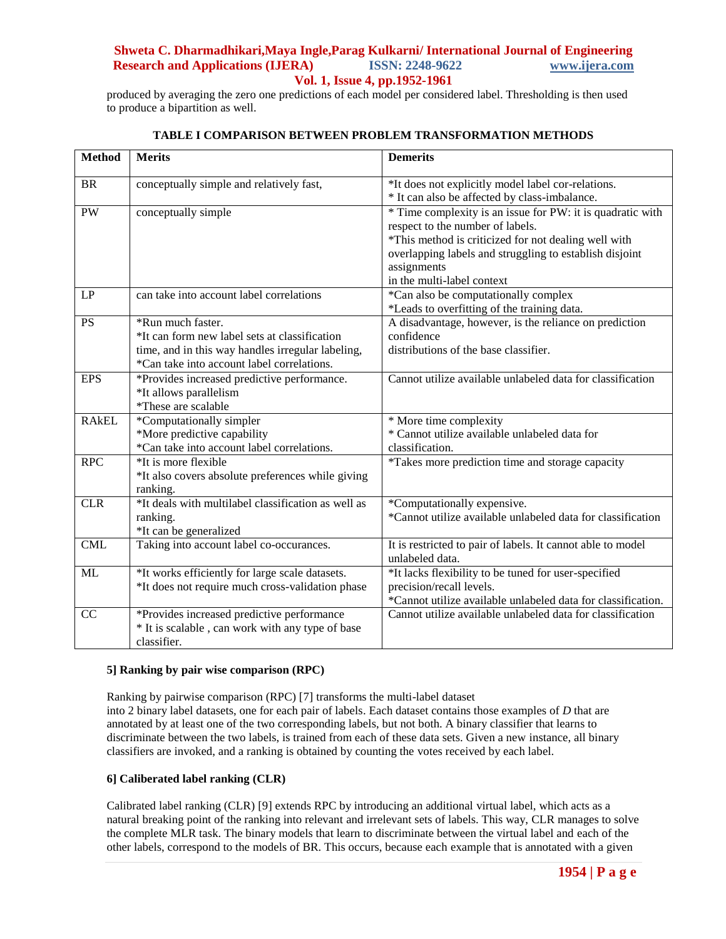produced by averaging the zero one predictions of each model per considered label. Thresholding is then used to produce a bipartition as well.

| <b>Method</b> | <b>Merits</b>                                                                                                                                                         | <b>Demerits</b>                                                                                                                                                                                                                                                |
|---------------|-----------------------------------------------------------------------------------------------------------------------------------------------------------------------|----------------------------------------------------------------------------------------------------------------------------------------------------------------------------------------------------------------------------------------------------------------|
| <b>BR</b>     | conceptually simple and relatively fast,                                                                                                                              | *It does not explicitly model label cor-relations.<br>* It can also be affected by class-imbalance.                                                                                                                                                            |
| PW            | conceptually simple                                                                                                                                                   | * Time complexity is an issue for PW: it is quadratic with<br>respect to the number of labels.<br>*This method is criticized for not dealing well with<br>overlapping labels and struggling to establish disjoint<br>assignments<br>in the multi-label context |
| LP            | can take into account label correlations                                                                                                                              | *Can also be computationally complex<br>*Leads to overfitting of the training data.                                                                                                                                                                            |
| <b>PS</b>     | *Run much faster.<br>*It can form new label sets at classification<br>time, and in this way handles irregular labeling,<br>*Can take into account label correlations. | A disadvantage, however, is the reliance on prediction<br>confidence<br>distributions of the base classifier.                                                                                                                                                  |
| <b>EPS</b>    | *Provides increased predictive performance.<br>*It allows parallelism<br>*These are scalable                                                                          | Cannot utilize available unlabeled data for classification                                                                                                                                                                                                     |
| <b>RAKEL</b>  | *Computationally simpler<br>*More predictive capability<br>*Can take into account label correlations.                                                                 | * More time complexity<br>* Cannot utilize available unlabeled data for<br>classification.                                                                                                                                                                     |
| <b>RPC</b>    | $*$ It is more flexible<br>*It also covers absolute preferences while giving<br>ranking.                                                                              | *Takes more prediction time and storage capacity                                                                                                                                                                                                               |
| CLR           | *It deals with multilabel classification as well as<br>ranking.<br>*It can be generalized                                                                             | *Computationally expensive.<br>*Cannot utilize available unlabeled data for classification                                                                                                                                                                     |
| <b>CML</b>    | Taking into account label co-occurances.                                                                                                                              | It is restricted to pair of labels. It cannot able to model<br>unlabeled data.                                                                                                                                                                                 |
| <b>ML</b>     | *It works efficiently for large scale datasets.<br>*It does not require much cross-validation phase                                                                   | *It lacks flexibility to be tuned for user-specified<br>precision/recall levels.<br>*Cannot utilize available unlabeled data for classification.                                                                                                               |
| CC            | *Provides increased predictive performance<br>* It is scalable, can work with any type of base<br>classifier.                                                         | Cannot utilize available unlabeled data for classification                                                                                                                                                                                                     |

## **TABLE I COMPARISON BETWEEN PROBLEM TRANSFORMATION METHODS**

## **5] Ranking by pair wise comparison (RPC)**

Ranking by pairwise comparison (RPC) [7] transforms the multi-label dataset into 2 binary label datasets, one for each pair of labels. Each dataset contains those examples of *D* that are annotated by at least one of the two corresponding labels, but not both. A binary classifier that learns to discriminate between the two labels, is trained from each of these data sets. Given a new instance, all binary classifiers are invoked, and a ranking is obtained by counting the votes received by each label.

## **6] Caliberated label ranking (CLR)**

Calibrated label ranking (CLR) [9] extends RPC by introducing an additional virtual label, which acts as a natural breaking point of the ranking into relevant and irrelevant sets of labels. This way, CLR manages to solve the complete MLR task. The binary models that learn to discriminate between the virtual label and each of the other labels, correspond to the models of BR. This occurs, because each example that is annotated with a given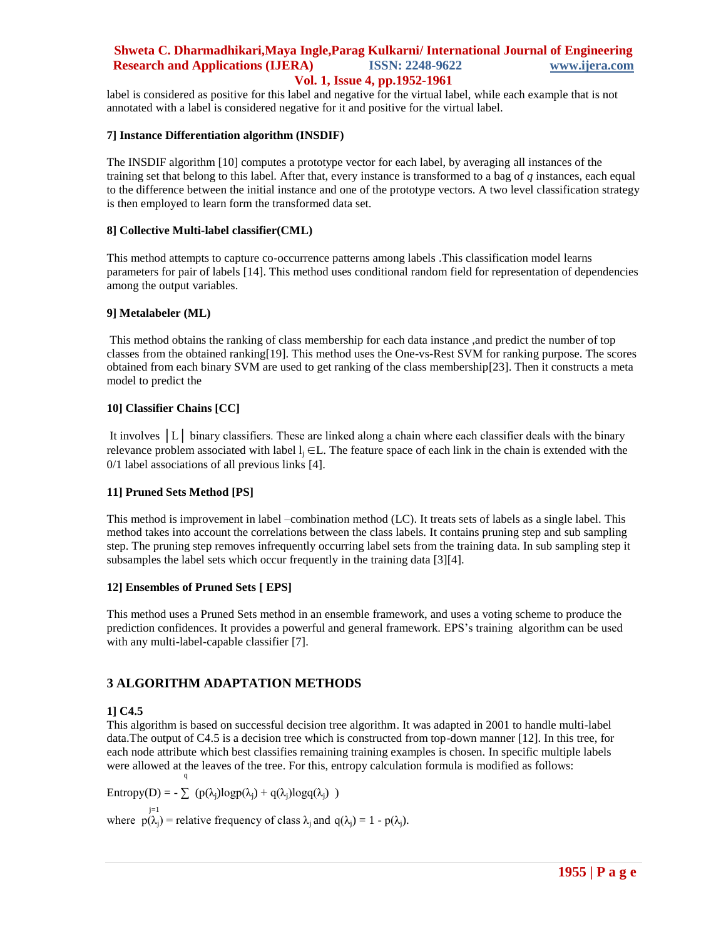label is considered as positive for this label and negative for the virtual label, while each example that is not annotated with a label is considered negative for it and positive for the virtual label.

#### **7] Instance Differentiation algorithm (INSDIF)**

The INSDIF algorithm [10] computes a prototype vector for each label, by averaging all instances of the training set that belong to this label. After that, every instance is transformed to a bag of *q* instances, each equal to the difference between the initial instance and one of the prototype vectors. A two level classification strategy is then employed to learn form the transformed data set.

#### **8] Collective Multi-label classifier(CML)**

This method attempts to capture co-occurrence patterns among labels .This classification model learns parameters for pair of labels [14]. This method uses conditional random field for representation of dependencies among the output variables.

#### **9] Metalabeler (ML)**

This method obtains the ranking of class membership for each data instance ,and predict the number of top classes from the obtained ranking[19]. This method uses the One-vs-Rest SVM for ranking purpose. The scores obtained from each binary SVM are used to get ranking of the class membership[23]. Then it constructs a meta model to predict the

## **10] Classifier Chains [CC]**

It involves │L│ binary classifiers. These are linked along a chain where each classifier deals with the binary relevance problem associated with label  $l_i \in L$ . The feature space of each link in the chain is extended with the 0/1 label associations of all previous links [4].

## **11] Pruned Sets Method [PS]**

This method is improvement in label –combination method (LC). It treats sets of labels as a single label. This method takes into account the correlations between the class labels. It contains pruning step and sub sampling step. The pruning step removes infrequently occurring label sets from the training data. In sub sampling step it subsamples the label sets which occur frequently in the training data [3][4].

## **12] Ensembles of Pruned Sets [ EPS]**

This method uses a Pruned Sets method in an ensemble framework, and uses a voting scheme to produce the prediction confidences. It provides a powerful and general framework. EPS"s training algorithm can be used with any multi-label-capable classifier [7].

## **3 ALGORITHM ADAPTATION METHODS**

## **1] C4.5**

This algorithm is based on successful decision tree algorithm. It was adapted in 2001 to handle multi-label data.The output of C4.5 is a decision tree which is constructed from top-down manner [12]. In this tree, for each node attribute which best classifies remaining training examples is chosen. In specific multiple labels were allowed at the leaves of the tree. For this, entropy calculation formula is modified as follows: **q** and the state of the state of the state of the state of the state of the state of the state of the state of the state of the state of the state of the state of the state of the state of the state of the state of the st

Entropy(D) = -  $\sum$  (p( $\lambda_i$ )logp( $\lambda_i$ ) + q( $\lambda_i$ )logq( $\lambda_i$ ))

where  $p(\lambda_j)$  = relative frequency of class  $\lambda_j$  and  $q(\lambda_j) = 1 - p(\lambda_j)$ .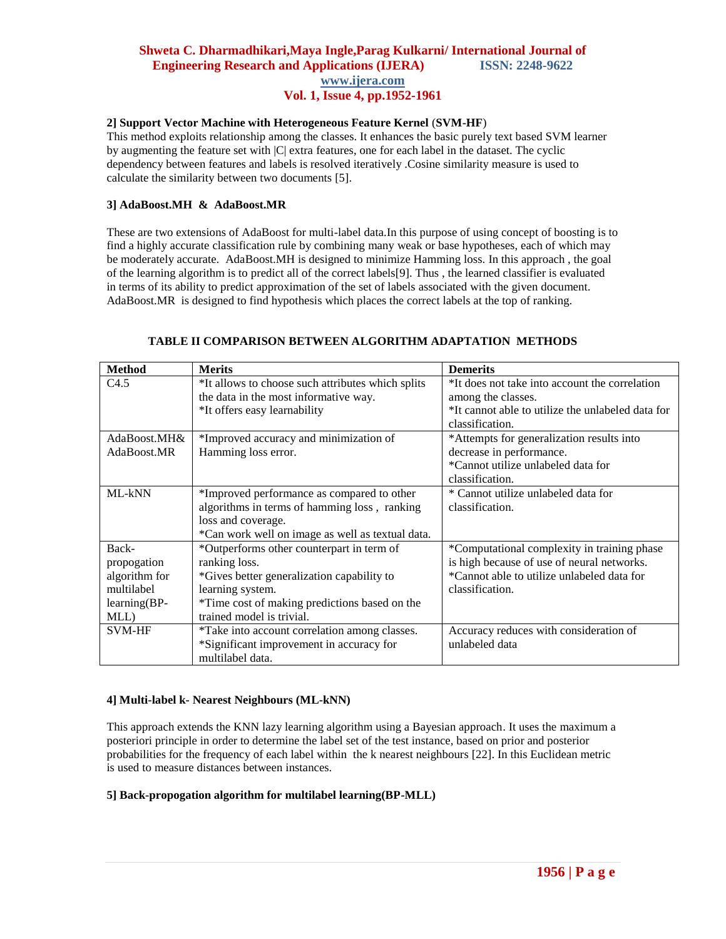## **2] Support Vector Machine with Heterogeneous Feature Kernel** (**SVM-HF**)

This method exploits relationship among the classes. It enhances the basic purely text based SVM learner by augmenting the feature set with |C| extra features, one for each label in the dataset. The cyclic dependency between features and labels is resolved iteratively .Cosine similarity measure is used to calculate the similarity between two documents [5].

## **3] AdaBoost.MH & AdaBoost.MR**

These are two extensions of AdaBoost for multi-label data.In this purpose of using concept of boosting is to find a highly accurate classification rule by combining many weak or base hypotheses, each of which may be moderately accurate. AdaBoost.MH is designed to minimize Hamming loss. In this approach , the goal of the learning algorithm is to predict all of the correct labels[9]. Thus , the learned classifier is evaluated in terms of its ability to predict approximation of the set of labels associated with the given document. AdaBoost.MR is designed to find hypothesis which places the correct labels at the top of ranking.

| <b>Method</b>  | <b>Merits</b>                                     | <b>Demerits</b>                                   |
|----------------|---------------------------------------------------|---------------------------------------------------|
| C4.5           | *It allows to choose such attributes which splits | *It does not take into account the correlation    |
|                | the data in the most informative way.             | among the classes.                                |
|                | *It offers easy learnability                      | *It cannot able to utilize the unlabeled data for |
|                |                                                   | classification.                                   |
| AdaBoost.MH&   | *Improved accuracy and minimization of            | *Attempts for generalization results into         |
| AdaBoost.MR    | Hamming loss error.                               | decrease in performance.                          |
|                |                                                   | *Cannot utilize unlabeled data for                |
|                |                                                   | classification.                                   |
| ML-kNN         | *Improved performance as compared to other        | * Cannot utilize unlabeled data for               |
|                | algorithms in terms of hamming loss, ranking      | classification.                                   |
|                | loss and coverage.                                |                                                   |
|                | *Can work well on image as well as textual data.  |                                                   |
| Back-          | *Outperforms other counterpart in term of         | *Computational complexity in training phase       |
| propogation    | ranking loss.                                     | is high because of use of neural networks.        |
| algorithm for  | *Gives better generalization capability to        | *Cannot able to utilize unlabeled data for        |
| multilabel     | learning system.                                  | classification.                                   |
| $learning(BP-$ | *Time cost of making predictions based on the     |                                                   |
| MLL)           | trained model is trivial.                         |                                                   |
| <b>SVM-HF</b>  | *Take into account correlation among classes.     | Accuracy reduces with consideration of            |
|                | *Significant improvement in accuracy for          | unlabeled data                                    |
|                | multilabel data.                                  |                                                   |

## **TABLE II COMPARISON BETWEEN ALGORITHM ADAPTATION METHODS**

## **4] Multi-label k- Nearest Neighbours (ML-kNN)**

This approach extends the KNN lazy learning algorithm using a Bayesian approach. It uses the maximum a posteriori principle in order to determine the label set of the test instance, based on prior and posterior probabilities for the frequency of each label within the k nearest neighbours [22]. In this Euclidean metric is used to measure distances between instances.

## **5] Back-propogation algorithm for multilabel learning(BP-MLL)**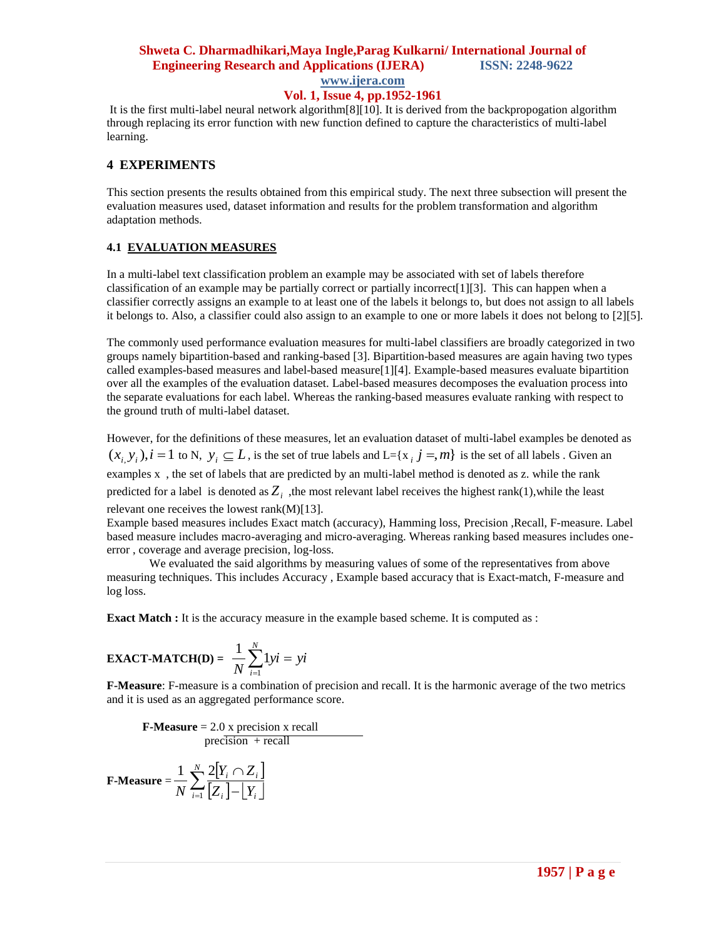## **Shweta C. Dharmadhikari,Maya Ingle,Parag Kulkarni/ International Journal of Engineering Research and Applications (IJERA) ISSN: 2248-9622**

**www.ijera.com**

## **Vol. 1, Issue 4, pp.1952-1961**

It is the first multi-label neural network algorithm[8][10]. It is derived from the backpropogation algorithm through replacing its error function with new function defined to capture the characteristics of multi-label learning.

## **4 EXPERIMENTS**

This section presents the results obtained from this empirical study. The next three subsection will present the evaluation measures used, dataset information and results for the problem transformation and algorithm adaptation methods.

## **4.1 EVALUATION MEASURES**

In a multi-label text classification problem an example may be associated with set of labels therefore classification of an example may be partially correct or partially incorrect[1][3]. This can happen when a classifier correctly assigns an example to at least one of the labels it belongs to, but does not assign to all labels it belongs to. Also, a classifier could also assign to an example to one or more labels it does not belong to [2][5].

The commonly used performance evaluation measures for multi-label classifiers are broadly categorized in two groups namely bipartition-based and ranking-based [3]. Bipartition-based measures are again having two types called examples-based measures and label-based measure[1][4]. Example-based measures evaluate bipartition over all the examples of the evaluation dataset. Label-based measures decomposes the evaluation process into the separate evaluations for each label. Whereas the ranking-based measures evaluate ranking with respect to the ground truth of multi-label dataset.

However, for the definitions of these measures, let an evaluation dataset of multi-label examples be denoted as  $(x_i, y_i)$ ,  $i = 1$  to N,  $y_i \subseteq L$ , is the set of true labels and L={x<sub>i</sub> j =, m} is the set of all labels. Given an examples x , the set of labels that are predicted by an multi-label method is denoted as z. while the rank predicted for a label is denoted as  $Z_i$ , the most relevant label receives the highest rank(1), while the least relevant one receives the lowest rank(M)[13].

Example based measures includes Exact match (accuracy), Hamming loss, Precision ,Recall, F-measure. Label based measure includes macro-averaging and micro-averaging. Whereas ranking based measures includes oneerror , coverage and average precision, log-loss.

We evaluated the said algorithms by measuring values of some of the representatives from above measuring techniques. This includes Accuracy , Example based accuracy that is Exact-match, F-measure and log loss.

**Exact Match :** It is the accuracy measure in the example based scheme. It is computed as :

**EXAMPLE 2** 
$$
\frac{1}{N} \sum_{i=1}^{N} 1yi = yi
$$

**F-Measure**: F-measure is a combination of precision and recall. It is the harmonic average of the two metrics and it is used as an aggregated performance score.

 **F-Measure** = 2.0 x precision x recall  $precision + recall$ 

$$
\textbf{F-Measure} = \frac{1}{N} \sum_{i=1}^{N} \frac{2[Y_i \cap Z_i]}{[Z_i] - [Y_i]}
$$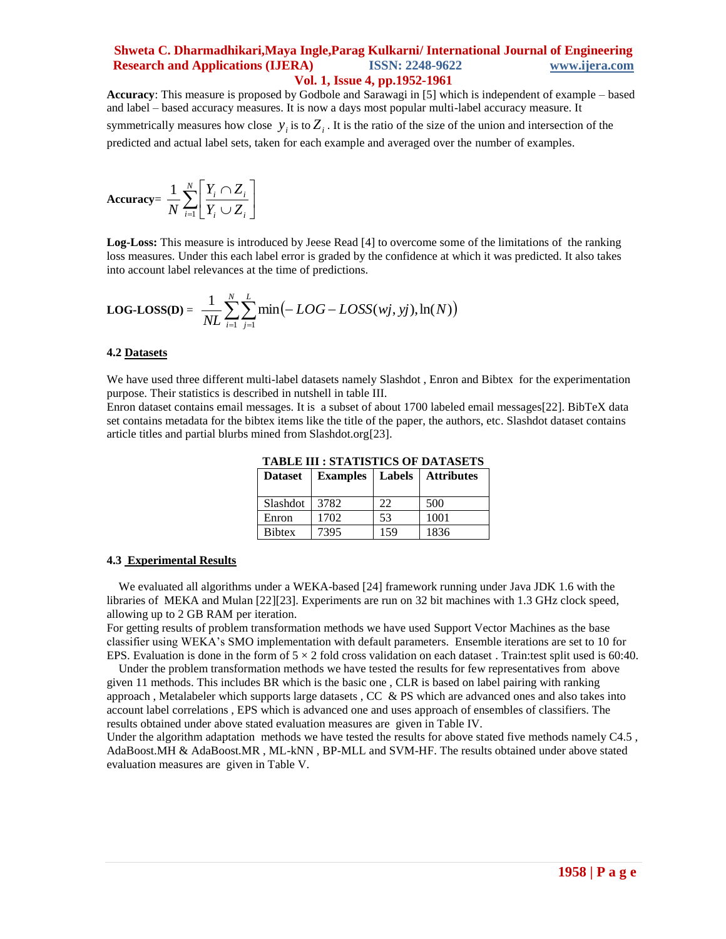**Accuracy**: This measure is proposed by Godbole and Sarawagi in [5] which is independent of example – based and label – based accuracy measures. It is now a days most popular multi-label accuracy measure. It symmetrically measures how close  $y_i$  is to  $Z_i$ . It is the ratio of the size of the union and intersection of the predicted and actual label sets, taken for each example and averaged over the number of examples.

$$
\text{Accuracy} = \frac{1}{N} \sum_{i=1}^{N} \left[ \frac{Y_i \cap Z_i}{Y_i \cup Z_i} \right]
$$

**Log-Loss:** This measure is introduced by Jeese Read [4] to overcome some of the limitations of the ranking loss measures. Under this each label error is graded by the confidence at which it was predicted. It also takes into account label relevances at the time of predictions.

$$
LOG\text{-}LOSS(D) = \frac{1}{NL} \sum_{i=1}^{N} \sum_{j=1}^{L} \min(-LOG - LOSS(wj, yj), \ln(N))
$$

#### **4.2 Datasets**

We have used three different multi-label datasets namely Slashdot , Enron and Bibtex for the experimentation purpose. Their statistics is described in nutshell in table III.

Enron dataset contains email messages. It is a subset of about 1700 labeled email messages[22]. BibTeX data set contains metadata for the bibtex items like the title of the paper, the authors, etc. Slashdot dataset contains article titles and partial blurbs mined from Slashdot.org[23].

| <b>Dataset</b> | <b>Examples</b> | <b>Labels</b> | <b>Attributes</b> |
|----------------|-----------------|---------------|-------------------|
| Slashdot       | 3782            | つつ            | 500               |
| Enron          | 1702            | 53            | 1001              |
| <b>Bibtex</b>  | 7395            | 159           | 1836              |

**TABLE III : STATISTICS OF DATASETS**

#### **4.3 Experimental Results**

 We evaluated all algorithms under a WEKA-based [24] framework running under Java JDK 1.6 with the libraries of MEKA and Mulan [22][23]. Experiments are run on 32 bit machines with 1.3 GHz clock speed, allowing up to 2 GB RAM per iteration.

For getting results of problem transformation methods we have used Support Vector Machines as the base classifier using WEKA"s SMO implementation with default parameters. Ensemble iterations are set to 10 for EPS. Evaluation is done in the form of  $5 \times 2$  fold cross validation on each dataset. Train:test split used is 60:40.

 Under the problem transformation methods we have tested the results for few representatives from above given 11 methods. This includes BR which is the basic one , CLR is based on label pairing with ranking approach, Metalabeler which supports large datasets, CC  $\&$  PS which are advanced ones and also takes into account label correlations , EPS which is advanced one and uses approach of ensembles of classifiers. The results obtained under above stated evaluation measures are given in Table IV.

Under the algorithm adaptation methods we have tested the results for above stated five methods namely C4.5, AdaBoost.MH & AdaBoost.MR , ML-kNN , BP-MLL and SVM-HF. The results obtained under above stated evaluation measures are given in Table V.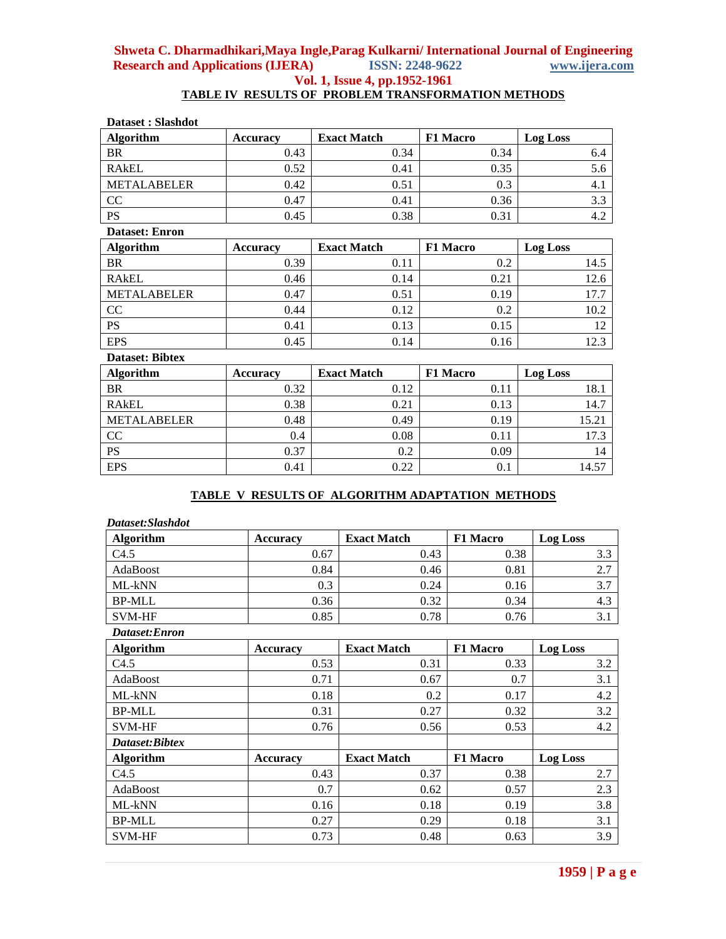# **TABLE IV RESULTS OF PROBLEM TRANSFORMATION METHODS**

| Dataset: Slashdot      |                 |                    |                 |                 |  |
|------------------------|-----------------|--------------------|-----------------|-----------------|--|
| <b>Algorithm</b>       | <b>Accuracy</b> | <b>Exact Match</b> | F1 Macro        | <b>Log Loss</b> |  |
| BR                     | 0.43            | 0.34               | 0.34            | 6.4             |  |
| <b>RAKEL</b>           | 0.52            | 0.41               | 0.35            | 5.6             |  |
| <b>METALABELER</b>     | 0.42            | 0.51               | 0.3             | 4.1             |  |
| CC                     | 0.47            | 0.41               | 0.36            | 3.3             |  |
| <b>PS</b>              | 0.45            | 0.38               | 0.31            | 4.2             |  |
| <b>Dataset: Enron</b>  |                 |                    |                 |                 |  |
| <b>Algorithm</b>       | <b>Accuracy</b> | <b>Exact Match</b> | F1 Macro        | <b>Log Loss</b> |  |
| <b>BR</b>              | 0.39            | 0.11               | 0.2             | 14.5            |  |
| <b>RAKEL</b>           | 0.46            | 0.14               | 0.21            | 12.6            |  |
| <b>METALABELER</b>     | 0.47            | 0.51               | 0.19            | 17.7            |  |
| CC                     | 0.44            | 0.12               | 0.2             | 10.2            |  |
| PS                     | 0.41            | 0.13               | 0.15            | 12              |  |
| <b>EPS</b>             | 0.45            | 0.14               | 0.16            | 12.3            |  |
| <b>Dataset: Bibtex</b> |                 |                    |                 |                 |  |
| <b>Algorithm</b>       | <b>Accuracy</b> | <b>Exact Match</b> | <b>F1 Macro</b> | <b>Log Loss</b> |  |
| <b>BR</b>              | 0.32            | 0.12               | 0.11            | 18.1            |  |
| <b>RAKEL</b>           | 0.38            | 0.21               | 0.13            | 14.7            |  |
| <b>METALABELER</b>     | 0.48            | 0.49               | 0.19            | 15.21           |  |
| CC                     | 0.4             | 0.08               | 0.11            | 17.3            |  |
| <b>PS</b>              | 0.37            | 0.2                | 0.09            | 14              |  |
| <b>EPS</b>             | 0.41            | 0.22               | 0.1             | 14.57           |  |

## **TABLE V RESULTS OF ALGORITHM ADAPTATION METHODS**

| Dataset: Slashdot |                 |                    |                 |                 |
|-------------------|-----------------|--------------------|-----------------|-----------------|
| <b>Algorithm</b>  | <b>Accuracy</b> | <b>Exact Match</b> | F1 Macro        | <b>Log Loss</b> |
| C4.5              | 0.67            | 0.43               | 0.38            | 3.3             |
| AdaBoost          | 0.84            | 0.46               | 0.81            | 2.7             |
| ML-kNN            | 0.3             | 0.24               | 0.16            | 3.7             |
| <b>BP-MLL</b>     | 0.36            | 0.32               | 0.34            | 4.3             |
| <b>SVM-HF</b>     | 0.85            | 0.78               | 0.76            | 3.1             |
| Dataset:Enron     |                 |                    |                 |                 |
| <b>Algorithm</b>  | <b>Accuracy</b> | <b>Exact Match</b> | F1 Macro        | <b>Log Loss</b> |
| C4.5              | 0.53            | 0.31               | 0.33            | 3.2             |
| AdaBoost          | 0.71            | 0.67               | 0.7             | 3.1             |
| ML-kNN            | 0.18            | 0.2                | 0.17            | 4.2             |
| <b>BP-MLL</b>     | 0.31            | 0.27               | 0.32            | 3.2             |
| <b>SVM-HF</b>     | 0.76            | 0.56               | 0.53            | 4.2             |
| Dataset:Bibtex    |                 |                    |                 |                 |
| <b>Algorithm</b>  | <b>Accuracy</b> | <b>Exact Match</b> | <b>F1 Macro</b> | <b>Log Loss</b> |
| C4.5              | 0.43            | 0.37               | 0.38            | 2.7             |
| AdaBoost          | 0.7             | 0.62               | 0.57            | 2.3             |
| ML-kNN            | 0.16            | 0.18               | 0.19            | 3.8             |
| <b>BP-MLL</b>     | 0.27            | 0.29               | 0.18            | 3.1             |
| <b>SVM-HF</b>     | 0.73            | 0.48               | 0.63            | 3.9             |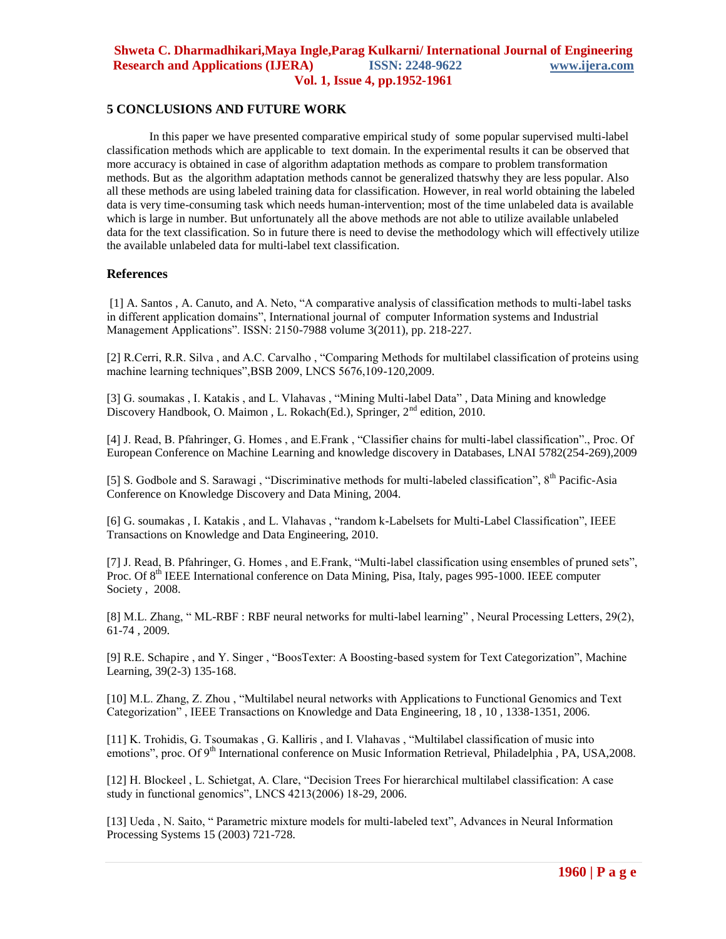## **5 CONCLUSIONS AND FUTURE WORK**

In this paper we have presented comparative empirical study of some popular supervised multi-label classification methods which are applicable to text domain. In the experimental results it can be observed that more accuracy is obtained in case of algorithm adaptation methods as compare to problem transformation methods. But as the algorithm adaptation methods cannot be generalized thatswhy they are less popular. Also all these methods are using labeled training data for classification. However, in real world obtaining the labeled data is very time-consuming task which needs human-intervention; most of the time unlabeled data is available which is large in number. But unfortunately all the above methods are not able to utilize available unlabeled data for the text classification. So in future there is need to devise the methodology which will effectively utilize the available unlabeled data for multi-label text classification.

#### **References**

[1] A. Santos , A. Canuto, and A. Neto, "A comparative analysis of classification methods to multi-label tasks in different application domains", International journal of computer Information systems and Industrial Management Applications". ISSN: 2150-7988 volume 3(2011), pp. 218-227.

[2] R.Cerri, R.R. Silva , and A.C. Carvalho , "Comparing Methods for multilabel classification of proteins using machine learning techniques",BSB 2009, LNCS 5676,109-120,2009.

[3] G. soumakas, I. Katakis, and L. Vlahavas, "Mining Multi-label Data", Data Mining and knowledge Discovery Handbook, O. Maimon, L. Rokach(Ed.), Springer, 2<sup>nd</sup> edition, 2010.

[4] J. Read, B. Pfahringer, G. Homes , and E.Frank , "Classifier chains for multi-label classification"., Proc. Of European Conference on Machine Learning and knowledge discovery in Databases, LNAI 5782(254-269),2009

[5] S. Godbole and S. Sarawagi, "Discriminative methods for multi-labeled classification", 8<sup>th</sup> Pacific-Asia Conference on Knowledge Discovery and Data Mining, 2004.

[6] G. soumakas , I. Katakis , and L. Vlahavas , "random k-Labelsets for Multi-Label Classification", IEEE Transactions on Knowledge and Data Engineering, 2010.

[7] J. Read, B. Pfahringer, G. Homes, and E.Frank, "Multi-label classification using ensembles of pruned sets", Proc. Of 8<sup>th</sup> IEEE International conference on Data Mining, Pisa, Italy, pages 995-1000. IEEE computer Society , 2008.

[8] M.L. Zhang, " ML-RBF : RBF neural networks for multi-label learning" , Neural Processing Letters, 29(2), 61-74 , 2009.

[9] R.E. Schapire , and Y. Singer , "BoosTexter: A Boosting-based system for Text Categorization", Machine Learning, 39(2-3) 135-168.

[10] M.L. Zhang, Z. Zhou , "Multilabel neural networks with Applications to Functional Genomics and Text Categorization" , IEEE Transactions on Knowledge and Data Engineering, 18 , 10 , 1338-1351, 2006.

[11] K. Trohidis, G. Tsoumakas , G. Kalliris , and I. Vlahavas , "Multilabel classification of music into emotions", proc. Of 9<sup>th</sup> International conference on Music Information Retrieval, Philadelphia, PA, USA,2008.

[12] H. Blockeel , L. Schietgat, A. Clare, "Decision Trees For hierarchical multilabel classification: A case study in functional genomics", LNCS 4213(2006) 18-29, 2006.

[13] Ueda, N. Saito, "Parametric mixture models for multi-labeled text", Advances in Neural Information Processing Systems 15 (2003) 721-728.